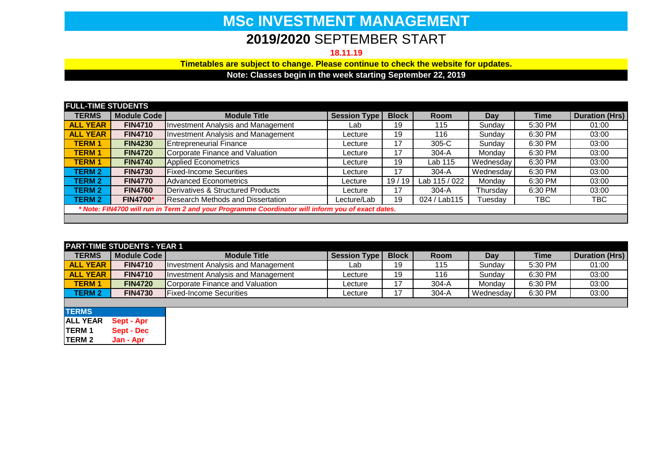## **MSc INVESTMENT MANAGEMENT**

## **2019/2020** SEPTEMBER START

**18.11.19**

**Timetables are subject to change. Please continue to check the website for updates.**

**Note: Classes begin in the week starting September 22, 2019**

| <b>FULL-TIME STUDENTS</b>                                                                         |                    |                                           |                     |              |               |             |         |                       |
|---------------------------------------------------------------------------------------------------|--------------------|-------------------------------------------|---------------------|--------------|---------------|-------------|---------|-----------------------|
| <b>TERMS</b>                                                                                      | <b>Module Code</b> | <b>Module Title</b>                       | <b>Session Type</b> | <b>Block</b> | <b>Room</b>   | Day         | Time    | <b>Duration (Hrs)</b> |
| <b>ALL YEAR</b>                                                                                   | <b>FIN4710</b>     | <b>Investment Analysis and Management</b> | Lab                 | 19           | 115           | Sundav      | 5:30 PM | 01:00                 |
| <b>ALL YEAR</b>                                                                                   | <b>FIN4710</b>     | <b>Investment Analysis and Management</b> | Lecture             | 19           | 116           | Sundav      | 6:30 PM | 03:00                 |
| <b>TERM1</b>                                                                                      | <b>FIN4230</b>     | <b>Entrepreneurial Finance</b>            | Lecture             | 17           | 305-C         | Sundav      | 6:30 PM | 03:00                 |
| <b>TERM1</b>                                                                                      | <b>FIN4720</b>     | Corporate Finance and Valuation           | Lecture             | 17           | $304-A$       | Mondav      | 6:30 PM | 03:00                 |
| <b>TERM1</b>                                                                                      | <b>FIN4740</b>     | <b>Applied Econometrics</b>               | Lecture             | 19           | Lab 115       | Wednesdav I | 6:30 PM | 03:00                 |
| <b>TERM 2</b>                                                                                     | <b>FIN4730</b>     | <b>Fixed-Income Securities</b>            | Lecture             | 17           | $304-A$       | Wednesday   | 6:30 PM | 03:00                 |
| <b>TERM 2</b>                                                                                     | <b>FIN4770</b>     | <b>Advanced Econometrics</b>              | Lecture             | 19/19        | Lab 115 / 022 | Monday      | 6:30 PM | 03:00                 |
| <b>TERM 2</b>                                                                                     | <b>FIN4760</b>     | Derivatives & Structured Products         | Lecture             | 17           | $304-A$       | Thursday    | 6:30 PM | 03:00                 |
| <b>TERM 2</b>                                                                                     | <b>FIN4700*</b>    | Research Methods and Dissertation         | Lecture/Lab         | 19           | 024 / Lab115  | Tuesday     | TBC     | TBC                   |
| * Note: FIN4700 will run in Term 2 and your Programme Coordinator will inform you of exact dates. |                    |                                           |                     |              |               |             |         |                       |

| <b>PART-TIME STUDENTS - YEAR 1</b> |                   |                                    |                     |              |             |           |         |                       |
|------------------------------------|-------------------|------------------------------------|---------------------|--------------|-------------|-----------|---------|-----------------------|
| <b>TERMS</b>                       | Module Code       | <b>Module Title</b>                | <b>Session Type</b> | <b>Block</b> | <b>Room</b> | Day       | Time    | <b>Duration (Hrs)</b> |
| <b>ALL YEAR</b>                    | <b>FIN4710</b>    | Investment Analysis and Management | Lab                 | 19           | 115         | Sundav    | 5:30 PM | 01:00                 |
| <b>ALL YEAR</b>                    | <b>FIN4710</b>    | Investment Analysis and Management | Lecture             | 19           | 116         | Sundav    | 6:30 PM | 03:00                 |
| <b>TERM1</b>                       | <b>FIN4720</b>    | Corporate Finance and Valuation    | Lecture             | 17           | $304-A$     | Mondav    | 6:30 PM | 03:00                 |
| <b>TERM 2</b>                      | <b>FIN4730</b>    | <b>Fixed-Income Securities</b>     | Lecture             | 17           | $304-A$     | Wednesday | 6:30 PM | 03:00                 |
|                                    |                   |                                    |                     |              |             |           |         |                       |
| <b>TERMS</b>                       |                   |                                    |                     |              |             |           |         |                       |
| <b>ALL YEAR</b>                    | Sept - Apr        |                                    |                     |              |             |           |         |                       |
| ETCMA                              | <b>Court Deal</b> |                                    |                     |              |             |           |         |                       |

**TERM 1 Sept - Dec TERM 2 Jan - Apr**